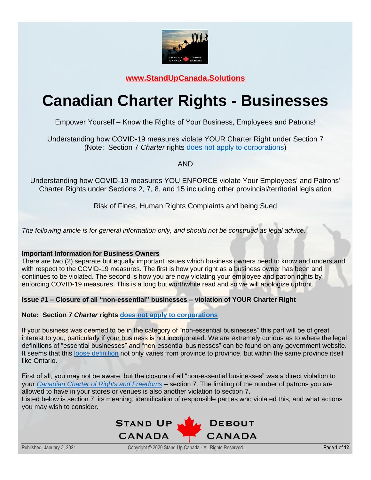

**[www.StandUpCanada.Solutions](http://www.standupcanada.solutions/)**

# **Canadian Charter Rights - Businesses**

Empower Yourself – Know the Rights of Your Business, Employees and Patrons!

Understanding how COVID-19 measures violate YOUR Charter Right under Section 7 (Note: Section 7 *Charter* rights does [not apply to corporations\)](https://www.justice.gc.ca/eng/csj-sjc/rfc-dlc/ccrf-ccdl/check/art7.html)

AND

Understanding how COVID-19 measures YOU ENFORCE violate Your Employees' and Patrons' Charter Rights under Sections 2, 7, 8, and 15 including other provincial/territorial legislation

Risk of Fines, Human Rights Complaints and being Sued

*The following article is for general information only, and should not be construed as legal advice.*

# **Important Information for Business Owners**

There are two (2) separate but equally important issues which business owners need to know and understand with respect to the COVID-19 measures. The first is how your right as a business owner has been and continues to be violated. The second is how you are now violating your employee and patron rights by enforcing COVID-19 measures. This is a long but worthwhile read and so we will apologize upfront.

**Issue #1 – Closure of all "non-essential" businesses – violation of YOUR Charter Right** 

**Note: Section 7** *Charter* **rights does [not apply to corporations](https://www.justice.gc.ca/eng/csj-sjc/rfc-dlc/ccrf-ccdl/check/art7.html)**

If your business was deemed to be in the category of "non-essential businesses" this part will be of great interest to you, particularly if your business is not incorporated. We are extremely curious as to where the legal definitions of "essential businesses" and "non-essential businesses" can be found on any government website. It seems that this [loose definition](https://globalnews.ca/news/6719233/essentialservices-coronavirus) not only varies from province to province, but within the same province itself like Ontario.

First of all, you may not be aware, but the closure of all "non-essential businesses" was a direct violation to your *[Canadian Charter of Rights and Freedoms](https://laws-lois.justice.gc.ca/eng/const/page-15.html)* – section 7. The limiting of the number of patrons you are allowed to have in your stores or venues is also another violation to section 7. Listed below is section 7, its meaning, identification of responsible parties who violated this, and what actions you may wish to consider.

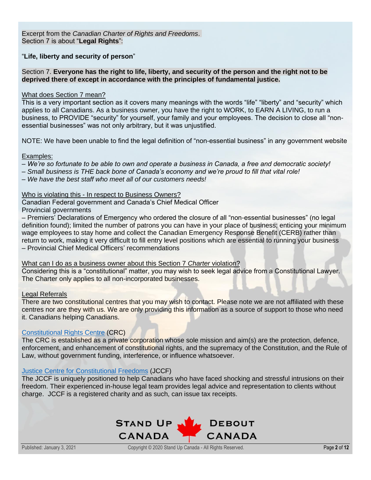Excerpt from the *Canadian Charter of Rights and Freedoms*. Section 7 is about "**Legal Rights**":

"**Life, liberty and security of person**"

## Section 7. **Everyone has the right to life, liberty, and security of the person and the right not to be deprived there of except in accordance with the principles of fundamental justice.**

## What does Section 7 mean?

This is a very important section as it covers many meanings with the words "life" "liberty" and "security" which applies to all Canadians. As a business owner, you have the right to WORK, to EARN A LIVING, to run a business, to PROVIDE "security" for yourself, your family and your employees. The decision to close all "nonessential businesses" was not only arbitrary, but it was unjustified.

NOTE: We have been unable to find the legal definition of "non-essential business" in any government website

## Examples:

- *We're so fortunate to be able to own and operate a business in Canada, a free and democratic society!*
- *Small business is THE back bone of Canada's economy and we're proud to fill that vital role!*
- *We have the best staff who meet all of our customers needs!*

## Who is violating this - In respect to Business Owners?

Canadian Federal government and Canada's Chief Medical Officer

Provincial governments

– Premiers' Declarations of Emergency who ordered the closure of all "non-essential businesses" (no legal definition found); limited the number of patrons you can have in your place of business; enticing your minimum wage employees to stay home and collect the Canadian Emergency Response Benefit (CERB) rather than return to work, making it very difficult to fill entry level positions which are essential to running your business – Provincial Chief Medical Officers' recommendations

What can I do as a business owner about this Section 7 *Charter* violation?

Considering this is a "constitutional" matter, you may wish to seek legal advice from a Constitutional Lawyer. The Charter only applies to all non-incorporated businesses.

#### Legal Referrals

There are two constitutional centres that you may wish to contact. Please note we are not affiliated with these centres nor are they with us. We are only providing this information as a source of support to those who need it. Canadians helping Canadians.

#### [Constitutional Rights Centre](https://www.constitutionalrightscentre.ca/) (CRC)

The CRC is established as a private corporation whose sole mission and aim(s) are the protection, defence, enforcement, and enhancement of constitutional rights, and the supremacy of the Constitution, and the Rule of Law, without government funding, interference, or influence whatsoever.

#### [Justice Centre for Constitutional Freedoms](https://www.jccf.ca/) (JCCF)

The JCCF is uniquely positioned to help Canadians who have faced shocking and stressful intrusions on their freedom. Their experienced in-house legal team provides legal advice and representation to clients without charge. JCCF is a registered charity and as such, can issue tax receipts.

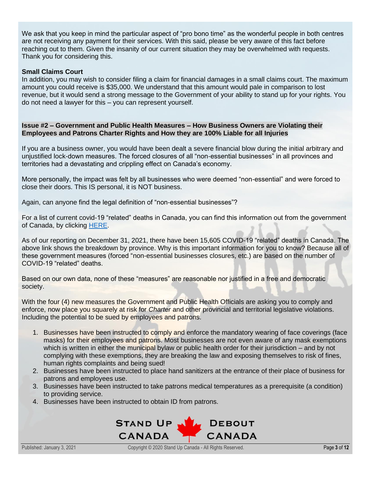We ask that you keep in mind the particular aspect of "pro bono time" as the wonderful people in both centres are not receiving any payment for their services. With this said, please be very aware of this fact before reaching out to them. Given the insanity of our current situation they may be overwhelmed with requests. Thank you for considering this.

## **Small Claims Court**

In addition, you may wish to consider filing a claim for financial damages in a small claims court. The maximum amount you could receive is \$35,000. We understand that this amount would pale in comparison to lost revenue, but it would send a strong message to the Government of your ability to stand up for your rights. You do not need a lawyer for this – you can represent yourself.

## **Issue #2 – Government and Public Health Measures – How Business Owners are Violating their Employees and Patrons Charter Rights and How they are 100% Liable for all Injuries**

If you are a business owner, you would have been dealt a severe financial blow during the initial arbitrary and unjustified lock-down measures. The forced closures of all "non-essential businesses" in all provinces and territories had a devastating and crippling effect on Canada's economy.

More personally, the impact was felt by all businesses who were deemed "non-essential" and were forced to close their doors. This IS personal, it is NOT business.

Again, can anyone find the legal definition of "non-essential businesses"?

For a list of current covid-19 "related" deaths in Canada, you can find this information out from the government of Canada, by clicking [HERE.](https://www.covid-19canada.com/)

As of our reporting on December 31, 2021, there have been 15,605 COVID-19 "related" deaths in Canada. The above link shows the breakdown by province. Why is this important information for you to know? Because all of these government measures (forced "non-essential businesses closures, etc.) are based on the number of COVID-19 "related" deaths.

Based on our own data, none of these "measures" are reasonable nor justified in a free and democratic society.

With the four (4) new measures the Government and Public Health Officials are asking you to comply and enforce, now place you squarely at risk for *Charter* and other provincial and territorial legislative violations. Including the potential to be sued by employees and patrons.

- 1. Businesses have been instructed to comply and enforce the mandatory wearing of face coverings (face masks) for their employees and patrons. Most businesses are not even aware of any mask exemptions which is written in either the municipal bylaw or public health order for their jurisdiction – and by not complying with these exemptions, they are breaking the law and exposing themselves to risk of fines, human rights complaints and being sued!
- 2. Businesses have been instructed to place hand sanitizers at the entrance of their place of business for patrons and employees use.
- 3. Businesses have been instructed to take patrons medical temperatures as a prerequisite (a condition) to providing service.
- 4. Businesses have been instructed to obtain ID from patrons.

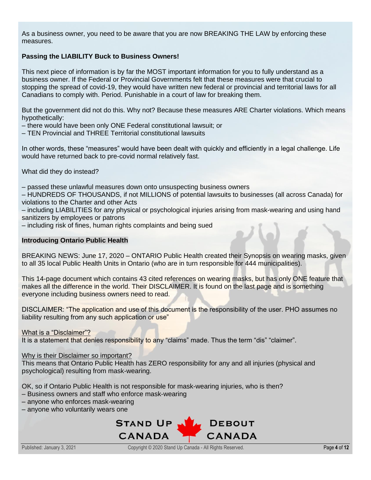As a business owner, you need to be aware that you are now BREAKING THE LAW by enforcing these measures.

# **Passing the LIABILITY Buck to Business Owners!**

This next piece of information is by far the MOST important information for you to fully understand as a business owner. If the Federal or Provincial Governments felt that these measures were that crucial to stopping the spread of covid-19, they would have written new federal or provincial and territorial laws for all Canadians to comply with. Period. Punishable in a court of law for breaking them.

But the government did not do this. Why not? Because these measures ARE Charter violations. Which means hypothetically:

– there would have been only ONE Federal constitutional lawsuit; or

– TEN Provincial and THREE Territorial constitutional lawsuits

In other words, these "measures" would have been dealt with quickly and efficiently in a legal challenge. Life would have returned back to pre-covid normal relatively fast.

What did they do instead?

– passed these unlawful measures down onto unsuspecting business owners

– HUNDREDS OF THOUSANDS, if not MILLIONS of potential lawsuits to businesses (all across Canada) for violations to the Charter and other Acts

– including LIABILITIES for any physical or psychological injuries arising from mask-wearing and using hand sanitizers by employees or patrons

– including risk of fines, human rights complaints and being sued

## **Introducing Ontario Public Health**

BREAKING NEWS: June 17, 2020 – ONTARIO Public Health created their Synopsis on wearing masks, given to all 35 local Public Health Units in Ontario (who are in turn responsible for 444 municipalities).

This 14-page document which contains 43 cited references on wearing masks, but has only ONE feature that makes all the difference in the world. Their DISCLAIMER. It is found on the last page and is something everyone including business owners need to read.

DISCLAIMER: "The application and use of this document is the responsibility of the user. PHO assumes no liability resulting from any such application or use"

What is a "Disclaimer"?

It is a statement that denies responsibility to any "claims" made. Thus the term "dis" "claimer".

#### Why is their Disclaimer so important?

This means that Ontario Public Health has ZERO responsibility for any and all injuries (physical and psychological) resulting from mask-wearing.

OK, so if Ontario Public Health is not responsible for mask-wearing injuries, who is then?

- Business owners and staff who enforce mask-wearing
- anyone who enforces mask-wearing
- anyone who voluntarily wears one

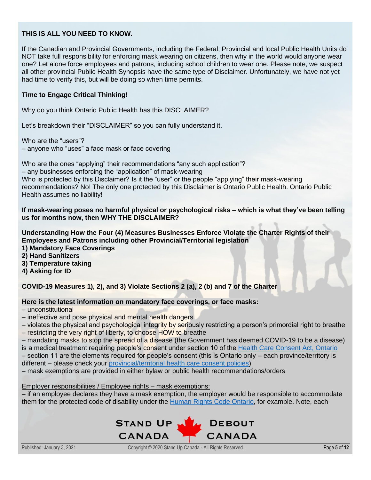# **THIS IS ALL YOU NEED TO KNOW.**

If the Canadian and Provincial Governments, including the Federal, Provincial and local Public Health Units do NOT take full responsibility for enforcing mask wearing on citizens, then why in the world would anyone wear one? Let alone force employees and patrons, including school children to wear one. Please note, we suspect all other provincial Public Health Synopsis have the same type of Disclaimer. Unfortunately, we have not yet had time to verify this, but will be doing so when time permits.

## **Time to Engage Critical Thinking!**

Why do you think Ontario Public Health has this DISCLAIMER?

Let's breakdown their "DISCLAIMER" so you can fully understand it.

Who are the "users"?

– anyone who "uses" a face mask or face covering

Who are the ones "applying" their recommendations "any such application"? – any businesses enforcing the "application" of mask-wearing Who is protected by this Disclaimer? Is it the "user" or the people "applying" their mask-wearing recommendations? No! The only one protected by this Disclaimer is Ontario Public Health. Ontario Public Health assumes no liability!

**If mask-wearing poses no harmful physical or psychological risks – which is what they've been telling us for months now, then WHY THE DISCLAIMER?**

**Understanding How the Four (4) Measures Businesses Enforce Violate the Charter Rights of their Employees and Patrons including other Provincial/Territorial legislation 1) Mandatory Face Coverings**

**2) Hand Sanitizers**

**3) Temperature taking**

**4) Asking for ID**

**COVID-19 Measures 1), 2), and 3) Violate Sections 2 (a), 2 (b) and 7 of the Charter**

**Here is the latest information on mandatory face coverings, or face masks:**

– unconstitutional

– ineffective and pose physical and mental health dangers

– violates the physical and psychological integrity by seriously restricting a person's primordial right to breathe

– restricting the very right of liberty, to choose HOW to breathe

– mandating masks to stop the spread of a disease (the Government has deemed COVID-19 to be a disease) is a medical treatment requiring people's consent under section 10 of the [Health Care Consent Act, Ontario](https://www.ontario.ca/laws/statute/96h02#BK14)

– section 11 are the elements required for people's consent (this is Ontario only – each province/territory is different – please check your [provincial/territorial health care consent policies\)](https://canadianhealthadvocatesinc.ca/patient-rights)

– mask exemptions are provided in either bylaw or public health recommendations/orders

Employer responsibilities / Employee rights – mask exemptions:

– if an employee declares they have a mask exemption, the employer would be responsible to accommodate them for the protected code of disability under the [Human Rights Code Ontario,](http://www.ohrc.on.ca/en/ontario-human-rights-code) for example. Note, each

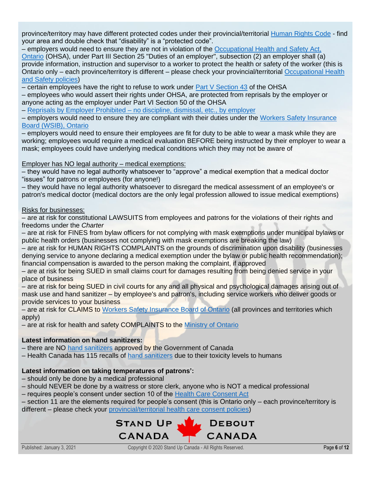province/territory may have different protected codes under their provincial/territorial [Human Rights Code](https://ccdi.ca/media/1414/20171102-publications-overview-of-hr-codes-by-province-final-en.pdf) - find your area and double check that "disability" is a "protected code".

– employers would need to ensure they are not in violation of the [Occupational Health and Safety Act,](https://www.ontario.ca/laws/statute/90o01#BK47)  [Ontario](https://www.ontario.ca/laws/statute/90o01#BK47) (OHSA), under Part III Section 25 "Duties of an employer", subsection (2) an employer shall (a) provide information, instruction and supervisor to a worker to protect the health or safety of the worker (this is Ontario only – each province/territory is different – please check your provincial/territorial Occupational Health [and Safety policies\)](https://www.ccohs.ca/oshanswers/legisl/intro.html)

– certain employees have the right to refuse to work under Part  $\vee$  Section 43 of the OHSA

– employees who would assert their rights under OHSA, are protected from reprisals by the employer or anyone acting as the employer under Part VI Section 50 of the OHSA

– Reprisals by Employer Prohibited – [no discipline, dismissal, etc., by employer](https://www.ontario.ca/laws/statute/90o01#BK81)

– employers would need to ensure they are compliant with their duties under the [Workers Safety Insurance](https://www.wsib.ca/en/businesses/health-and-safety/your-health-and-safety-rights-and-responsibilities)  [Board \(WSIB\), Ontario](https://www.wsib.ca/en/businesses/health-and-safety/your-health-and-safety-rights-and-responsibilities)

– employers would need to ensure their employees are fit for duty to be able to wear a mask while they are working; employees would require a medical evaluation BEFORE being instructed by their employer to wear a mask; employees could have underlying medical conditions which they may not be aware of

# Employer has NO legal authority – medical exemptions:

– they would have no legal authority whatsoever to "approve" a medical exemption that a medical doctor "issues" for patrons or employees (for anyone!)

– they would have no legal authority whatsoever to disregard the medical assessment of an employee's or patron's medical doctor (medical doctors are the only legal profession allowed to issue medical exemptions)

# Risks for businesses:

– are at risk for constitutional LAWSUITS from employees and patrons for the violations of their rights and freedoms under the *Charter*

– are at risk for FINES from bylaw officers for not complying with mask exemptions under municipal bylaws or public health orders (businesses not complying with mask exemptions are breaking the law)

– are at risk for HUMAN RIGHTS COMPLAINTS on the grounds of discrimination upon disability (businesses denying service to anyone declaring a medical exemption under the bylaw or public health recommendation); financial compensation is awarded to the person making the complaint, if approved

– are at risk for being SUED in small claims court for damages resulting from being denied service in your place of business

– are at risk for being SUED in civil courts for any and all physical and psychological damages arising out of mask use and hand sanitizer – by employee's and patron's, including service workers who deliver goods or provide services to your business

– are at risk for CLAIMS to [Workers Safety Insurance Board of Ontario](https://www.wsib.ca/en) (all provinces and territories which apply)

– are at risk for health and safety COMPLAINTS to the [Ministry of Ontario](https://www.ontario.ca/page/filing-workplace-health-and-safety-complaint)

# **Latest information on hand sanitizers:**

– there are NO [hand sanitizers](https://www.canada.ca/en/health-canada/services/drugs-health-products/disinfectants/covid-19/hand-sanitizer.html) approved by the Government of Canada

– Health Canada has 115 recalls of [hand sanitizers](https://healthycanadians.gc.ca/recall-alert-rappel-avis/hc-sc/2020/73385a-eng.php) due to their toxicity levels to humans

# **Latest information on taking temperatures of patrons':**

– should only be done by a medical professional

– should NEVER be done by a waitress or store clerk, anyone who is NOT a medical professional

– requires people's consent under section 10 of the [Health Care Consent Act](https://www.ontario.ca/laws/statute/96h02#BK14)

– section 11 are the elements required for people's consent (this is Ontario only – each province/territory is different – please check your [provincial/territorial health care consent policies\)](https://canadianhealthadvocatesinc.ca/patient-rights/)

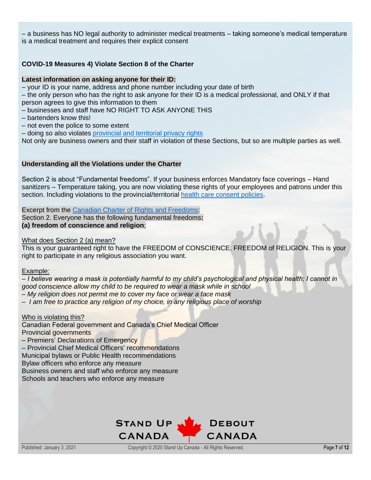– a business has NO legal authority to administer medical treatments – taking someone's medical temperature is a medical treatment and requires their explicit consent

# **COVID-19 Measures 4) Violate Section 8 of the Charter**

#### **Latest information on asking anyone for their ID:**

– your ID is your name, address and phone number including your date of birth

– the only person who has the right to ask anyone for their ID is a medical professional, and ONLY if that person agrees to give this information to them

– businesses and staff have NO RIGHT TO ASK ANYONE THIS

– bartenders know this!

– not even the police to some extent

– doing so also violates [provincial and territorial privacy rights](https://www.priv.gc.ca/en/about-the-opc/what-we-do/provincial-and-territorial-collaboration/provincial-and-territorial-privacy-laws-and-oversight/)

Not only are business owners and their staff in violation of these Sections, but so are multiple parties as well.

#### **Understanding all the Violations under the Charter**

Section 2 is about "Fundamental freedoms". If your business enforces Mandatory face coverings – Hand sanitizers – Temperature taking, you are now violating these rights of your employees and patrons under this section. Including violations to the provincial/territorial [health care consent policies.](https://canadianhealthadvocatesinc.ca/patient-rights)

Excerpt from the [Canadian Charter of Rights and Freedoms:](https://laws-lois.justice.gc.ca/eng/const/page-15.html)

Section 2. Everyone has the following fundamental freedoms**: (a) freedom of conscience and religion**;

## What does Section 2 (a) mean?

This is your guaranteed right to have the FREEDOM of CONSCIENCE. FREEDOM of RELIGION. This is your right to participate in any religious association you want.

#### Example:

– *I believe wearing a mask is potentially harmful to my child's psychological and physical health; I cannot in good conscience allow my child to be required to wear a mask while in school* – *My religion does not permit me to cover my face or wear a face mask*

– *I am free to practice any religion of my choice, in any religious place of worship*

#### Who is violating this?

Canadian Federal government and Canada's Chief Medical Officer Provincial governments

– Premiers' Declarations of Emergency

– Provincial Chief Medical Officers' recommendations

Municipal bylaws or Public Health recommendations

Bylaw officers who enforce any measure

Business owners and staff who enforce any measure

Schools and teachers who enforce any measure

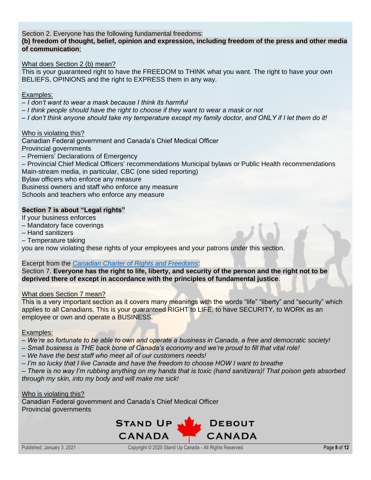# Section 2. Everyone has the following fundamental freedoms:

## **(b) freedom of thought, belief, opinion and expression, including freedom of the press and other media of communication**;

## What does Section 2 (b) mean?

This is your guaranteed right to have the FREEDOM to THINK what you want. The right to have your own BELIEFS, OPINIONS and the right to EXPRESS them in any way.

## Examples:

- *I don't want to wear a mask because I think its harmful*
- *I think people should have the right to choose if they want to wear a mask or not*
- *I don't think anyone should take my temperature except my family doctor, and ONLY if I let them do it!*

## Who is violating this?

Canadian Federal government and Canada's Chief Medical Officer

Provincial governments

– Premiers' Declarations of Emergency

– Provincial Chief Medical Officers' recommendations Municipal bylaws or Public Health recommendations Main-stream media, in particular, CBC (one sided reporting)

Bylaw officers who enforce any measure

Business owners and staff who enforce any measure

Schools and teachers who enforce any measure

# **Section 7 is about "Legal rights"**

If your business enforces

- Mandatory face coverings
- Hand sanitizers

– Temperature taking

you are now violating these rights of your employees and your patrons under this section.

#### Excerpt from the *[Canadian Charter of Rights and Freedoms](https://laws-lois.justice.gc.ca/eng/const/page-15.html)*:

Section 7. **Everyone has the right to life, liberty, and security of the person and the right not to be deprived there of except in accordance with the principles of fundamental justice**.

#### What does Section 7 mean?

This is a very important section as it covers many meanings with the words "life" "liberty" and "security" which applies to all Canadians. This is your guaranteed RIGHT to LIFE, to have SECURITY, to WORK as an employee or own and operate a BUSINESS.

#### Examples:

- *We're so fortunate to be able to own and operate a business in Canada, a free and democratic society!*
- *Small business is THE back bone of Canada's economy and we're proud to fill that vital role!*
- *We have the best staff who meet all of our customers needs!*
- *I'm so lucky that I live Canada and have the freedom to choose HOW I want to breathe*

– *There is no way I'm rubbing anything on my hands that is toxic (hand sanitizers)! That poison gets absorbed through my skin, into my body and will make me sick!*

#### Who is violating this?

Canadian Federal government and Canada's Chief Medical Officer Provincial governments

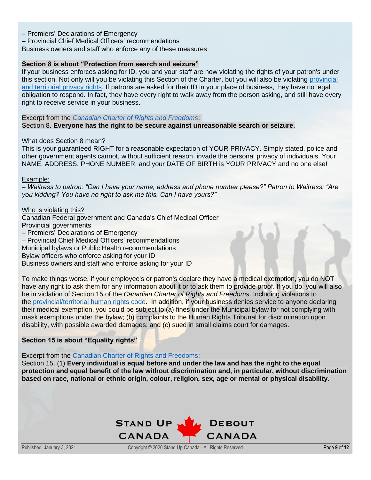- Premiers' Declarations of Emergency
- Provincial Chief Medical Officers' recommendations
- Business owners and staff who enforce any of these measures

## **Section 8 is about "Protection from search and seizure"**

If your business enforces asking for ID, you and your staff are now violating the rights of your patron's under this section. Not only will you be violating this Section of the Charter, but you will also be violating [provincial](https://www.priv.gc.ca/en/about-the-opc/what-we-do/provincial-and-territorial-collaboration/provincial-and-territorial-privacy-laws-and-oversight)  [and territorial privacy rights.](https://www.priv.gc.ca/en/about-the-opc/what-we-do/provincial-and-territorial-collaboration/provincial-and-territorial-privacy-laws-and-oversight) If patrons are asked for their ID in your place of business, they have no legal obligation to respond. In fact, they have every right to walk away from the person asking, and still have every right to receive service in your business.

Excerpt from the *[Canadian Charter of Rights and Freedoms](https://laws-lois.justice.gc.ca/eng/const/page-15.html)*: Section 8. **Everyone has the right to be secure against unreasonable search or seizure**.

#### What does Section 8 mean?

This is your guaranteed RIGHT for a reasonable expectation of YOUR PRIVACY. Simply stated, police and other government agents cannot, without sufficient reason, invade the personal privacy of individuals. Your NAME, ADDRESS, PHONE NUMBER, and your DATE OF BIRTH is YOUR PRIVACY and no one else!

#### Example:

– *Waitress to patron: "Can I have your name, address and phone number please?" Patron to Waitress: "Are you kidding? You have no right to ask me this. Can I have yours?"*

#### Who is violating this?

Canadian Federal government and Canada's Chief Medical Officer Provincial governments – Premiers' Declarations of Emergency – Provincial Chief Medical Officers' recommendations Municipal bylaws or Public Health recommendations Bylaw officers who enforce asking for your ID

Business owners and staff who enforce asking for your ID

To make things worse, if your employee's or patron's declare they have a medical exemption, you do NOT have any right to ask them for any information about it or to ask them to provide proof. If you do, you will also be in violation of Section 15 of the *Canadian Charter of Rights and Freedoms*. Including violations to the [provincial/territorial human rights code.](https://ccdi.ca/media/1414/20171102-publications-overview-of-hr-codes-by-province-final-en.pdf) In addition, if your business denies service to anyone declaring their medical exemption, you could be subject to (a) fines under the Municipal bylaw for not complying with mask exemptions under the bylaw; (b) complaints to the Human Rights Tribunal for discrimination upon disability, with possible awarded damages; and (c) sued in small claims court for damages.

# **Section 15 is about "Equality rights"**

Excerpt from the [Canadian Charter of Rights and Freedoms:](https://laws-lois.justice.gc.ca/eng/const/page-15.html)

Section 15. (1) **Every individual is equal before and under the law and has the right to the equal protection and equal benefit of the law without discrimination and, in particular, without discrimination based on race, national or ethnic origin, colour, religion, sex, age or mental or physical disability**.

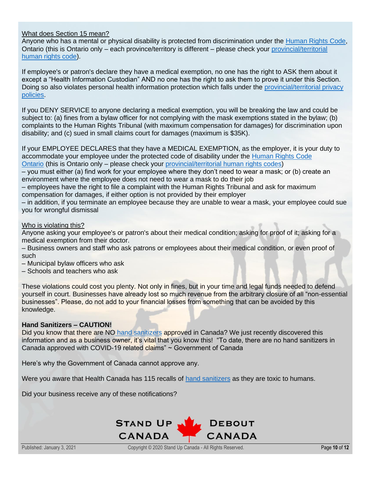## What does Section 15 mean?

Anyone who has a mental or physical disability is protected from discrimination under the [Human Rights Code,](http://www.ohrc.on.ca/en/ontario-human-rights-code) Ontario (this is Ontario only – each province/territory is different – please check your [provincial/territorial](https://ccdi.ca/media/1414/20171102-publications-overview-of-hr-codes-by-province-final-en.pdf)  [human rights code\)](https://ccdi.ca/media/1414/20171102-publications-overview-of-hr-codes-by-province-final-en.pdf).

If employee's or patron's declare they have a medical exemption, no one has the right to ASK them about it except a "Health Information Custodian" AND no one has the right to ask them to prove it under this Section. Doing so also violates personal health information protection which falls under the provincial/territorial privacy [policies.](https://www.priv.gc.ca/en/about-the-opc/what-we-do/provincial-and-territorial-collaboration/provincial-and-territorial-privacy-laws-and-oversight)

If you DENY SERVICE to anyone declaring a medical exemption, you will be breaking the law and could be subject to: (a) fines from a bylaw officer for not complying with the mask exemptions stated in the bylaw; (b) complaints to the Human Rights Tribunal (with maximum compensation for damages) for discrimination upon disability; and (c) sued in small claims court for damages (maximum is \$35K).

If your EMPLOYEE DECLARES that they have a MEDICAL EXEMPTION, as the employer, it is your duty to accommodate your employee under the protected code of disability under the [Human Rights Code](http://www.ohrc.on.ca/en/ontario-human-rights-code)  [Ontario](http://www.ohrc.on.ca/en/ontario-human-rights-code) (this is Ontario only – please check your [provincial/territorial human rights codes\)](https://ccdi.ca/media/1414/20171102-publications-overview-of-hr-codes-by-province-final-en.pdf)

– you must either (a) find work for your employee where they don't need to wear a mask; or (b) create an environment where the employee does not need to wear a mask to do their job

– employees have the right to file a complaint with the Human Rights Tribunal and ask for maximum compensation for damages, if either option is not provided by their employer

– in addition, if you terminate an employee because they are unable to wear a mask, your employee could sue you for wrongful dismissal

## Who is violating this?

Anyone asking your employee's or patron's about their medical condition; asking for proof of it; asking for a medical exemption from their doctor.

– Business owners and staff who ask patrons or employees about their medical condition, or even proof of such

– Municipal bylaw officers who ask

– Schools and teachers who ask

These violations could cost you plenty. Not only in fines, but in your time and legal funds needed to defend yourself in court. Businesses have already lost so much revenue from the arbitrary closure of all "non-essential businesses". Please, do not add to your financial losses from something that can be avoided by this knowledge.

#### **Hand Sanitizers – CAUTION!**

Did you know that there are NO [hand sanitizers](https://www.canada.ca/en/health-canada/services/drugs-health-products/disinfectants/covid-19/hand-sanitizer.html) approved in Canada? We just recently discovered this information and as a business owner, it's vital that you know this! "To date, there are no hand sanitizers in Canada approved with COVID-19 related claims" ~ Government of Canada

Here's why the Government of Canada cannot approve any.

Were you aware that Health Canada has 115 recalls of [hand sanitizers](https://healthycanadians.gc.ca/recall-alert-rappel-avis/hc-sc/2020/73385a-eng.php) as they are toxic to humans.

Did your business receive any of these notifications?

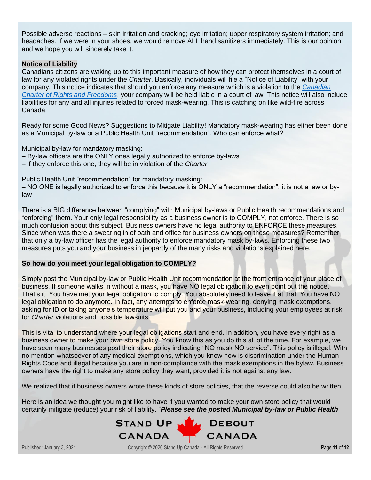Possible adverse reactions – skin irritation and cracking; eye irritation; upper respiratory system irritation; and headaches. If we were in your shoes, we would remove ALL hand sanitizers immediately. This is our opinion and we hope you will sincerely take it.

## **Notice of Liability**

Canadians citizens are waking up to this important measure of how they can protect themselves in a court of law for any violated rights under the *Charter*. Basically, individuals will file a "Notice of Liability" with your company. This notice indicates that should you enforce any measure which is a violation to the *[Canadian](https://laws-lois.justice.gc.ca/eng/const/page-15.html)  [Charter of Rights and Freedoms](https://laws-lois.justice.gc.ca/eng/const/page-15.html)*, your company will be held liable in a court of law. This notice will also include liabilities for any and all injuries related to forced mask-wearing. This is catching on like wild-fire across Canada.

Ready for some Good News? Suggestions to Mitigate Liability! Mandatory mask-wearing has either been done as a Municipal by-law or a Public Health Unit "recommendation". Who can enforce what?

Municipal by-law for mandatory masking:

- By-law officers are the ONLY ones legally authorized to enforce by-laws
- if they enforce this one, they will be in violation of the *Charter*

Public Health Unit "recommendation" for mandatory masking:

– NO ONE is legally authorized to enforce this because it is ONLY a "recommendation", it is not a law or bylaw

There is a BIG difference between "complying" with Municipal by-laws or Public Health recommendations and "enforcing" them. Your only legal responsibility as a business owner is to COMPLY, not enforce. There is so much confusion about this subject. Business owners have no legal authority to ENFORCE these measures. Since when was there a swearing in of oath and office for business owners on these measures? Remember that only a by-law officer has the legal authority to enforce mandatory mask by-laws. Enforcing these two measures puts you and your business in jeopardy of the many risks and violations explained here.

# **So how do you meet your legal obligation to COMPLY?**

Simply post the Municipal by-law or Public Health Unit recommendation at the front entrance of your place of business. If someone walks in without a mask, you have NO legal obligation to even point out the notice. That's it. You have met your legal obligation to comply. You absolutely need to leave it at that. You have NO legal obligation to do anymore. In fact, any attempts to enforce mask-wearing, denying mask exemptions, asking for ID or taking anyone's temperature will put you and your business, including your employees at risk for *Charter* violations and possible lawsuits.

This is vital to understand where your legal obligations start and end. In addition, you have every right as a business owner to make your own store policy. You know this as you do this all of the time. For example, we have seen many businesses post their store policy indicating "NO mask NO service". This policy is illegal. With no mention whatsoever of any medical exemptions, which you know now is discrimination under the Human Rights Code and illegal because you are in non-compliance with the mask exemptions in the bylaw. Business owners have the right to make any store policy they want, provided it is not against any law.

We realized that if business owners wrote these kinds of store policies, that the reverse could also be written.

Here is an idea we thought you might like to have if you wanted to make your own store policy that would certainly mitigate (reduce) your risk of liability. "*Please see the posted Municipal by-law or Public Health*